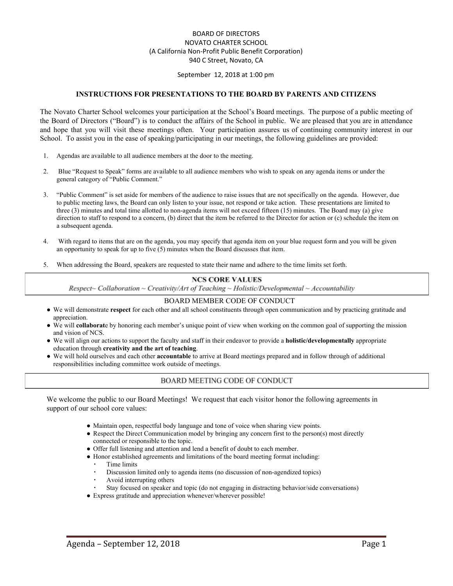### BOARD OF DIRECTORS NOVATO CHARTER SCHOOL (A California Non-Profit Public Benefit Corporation) 940 C Street, Novato, CA

#### September 12, 2018 at 1:00 pm

#### **INSTRUCTIONS FOR PRESENTATIONS TO THE BOARD BY PARENTS AND CITIZENS**

The Novato Charter School welcomes your participation at the School's Board meetings. The purpose of a public meeting of the Board of Directors ("Board") is to conduct the affairs of the School in public. We are pleased that you are in attendance and hope that you will visit these meetings often. Your participation assures us of continuing community interest in our School. To assist you in the ease of speaking/participating in our meetings, the following guidelines are provided:

- 1. Agendas are available to all audience members at the door to the meeting.
- 2. Blue "Request to Speak" forms are available to all audience members who wish to speak on any agenda items or under the general category of "Public Comment."
- 3. "Public Comment" is set aside for members of the audience to raise issues that are not specifically on the agenda. However, due to public meeting laws, the Board can only listen to your issue, not respond or take action. These presentations are limited to three (3) minutes and total time allotted to non-agenda items will not exceed fifteen (15) minutes. The Board may (a) give direction to staff to respond to a concern, (b) direct that the item be referred to the Director for action or (c) schedule the item on a subsequent agenda.
- 4. With regard to items that are on the agenda, you may specify that agenda item on your blue request form and you will be given an opportunity to speak for up to five (5) minutes when the Board discusses that item.
- 5. When addressing the Board, speakers are requested to state their name and adhere to the time limits set forth.

#### **NCS CORE VALUES**

Respect~ Collaboration ~ Creativity/Art of Teaching ~ Holistic/Developmental ~ Accountability

#### BOARD MEMBER CODE OF CONDUCT

- We will demonstrate **respect** for each other and all school constituents through open communication and by practicing gratitude and appreciation.
- We will **collaborat**e by honoring each member's unique point of view when working on the common goal of supporting the mission and vision of NCS.
- We will align our actions to support the faculty and staff in their endeavor to provide a **holistic/developmentally** appropriate education through **creativity and the art of teaching**.
- We will hold ourselves and each other **accountable** to arrive at Board meetings prepared and in follow through of additional responsibilities including committee work outside of meetings.

### BOARD MEETING CODE OF CONDUCT

We welcome the public to our Board Meetings! We request that each visitor honor the following agreements in support of our school core values:

- Maintain open, respectful body language and tone of voice when sharing view points.
- Respect the Direct Communication model by bringing any concern first to the person(s) most directly connected or responsible to the topic.
- Offer full listening and attention and lend a benefit of doubt to each member.
- Honor established agreements and limitations of the board meeting format including:
	- Time limits
	- Discussion limited only to agenda items (no discussion of non-agendized topics)
	- Avoid interrupting others
	- Stay focused on speaker and topic (do not engaging in distracting behavior/side conversations)
- Express gratitude and appreciation whenever/wherever possible!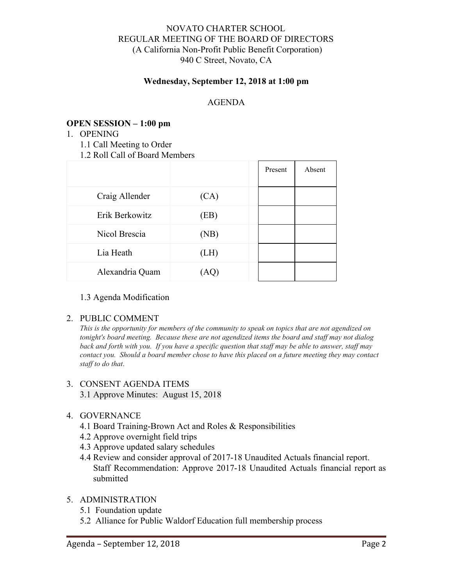# NOVATO CHARTER SCHOOL REGULAR MEETING OF THE BOARD OF DIRECTORS (A California Non-Profit Public Benefit Corporation) 940 C Street, Novato, CA

## **Wednesday, September 12, 2018 at 1:00 pm**

## AGENDA

## **OPEN SESSION – 1:00 pm**

1. OPENING

1.1 Call Meeting to Order

1.2 Roll Call of Board Members

|                 |      | Present | Absent |
|-----------------|------|---------|--------|
| Craig Allender  | (CA) |         |        |
| Erik Berkowitz  | (EB) |         |        |
| Nicol Brescia   | (NB) |         |        |
| Lia Heath       | (LH) |         |        |
| Alexandria Quam | (AQ) |         |        |

## 1.3 Agenda Modification

# 2. PUBLIC COMMENT

*This is the opportunity for members of the community to speak on topics that are not agendized on tonight's board meeting. Because these are not agendized items the board and staf may not dialog* back and forth with you. If you have a specific question that staff may be able to answer, staff may *contact you. Should a board member chose to have this placed on a future meeting they may contact staf to do that*.

# 3. CONSENT AGENDA ITEMS

3.1 Approve Minutes: August 15, 2018

# 4. GOVERNANCE

- 4.1 Board Training-Brown Act and Roles & Responsibilities
- 4.2 Approve overnight field trips
- 4.3 Approve updated salary schedules
- 4.4 Review and consider approval of 2017-18 Unaudited Actuals financial report. Staff Recommendation: Approve 2017-18 Unaudited Actuals financial report as submitted

## 5. ADMINISTRATION

- 5.1 Foundation update
- 5.2 Alliance for Public Waldorf Education full membership process